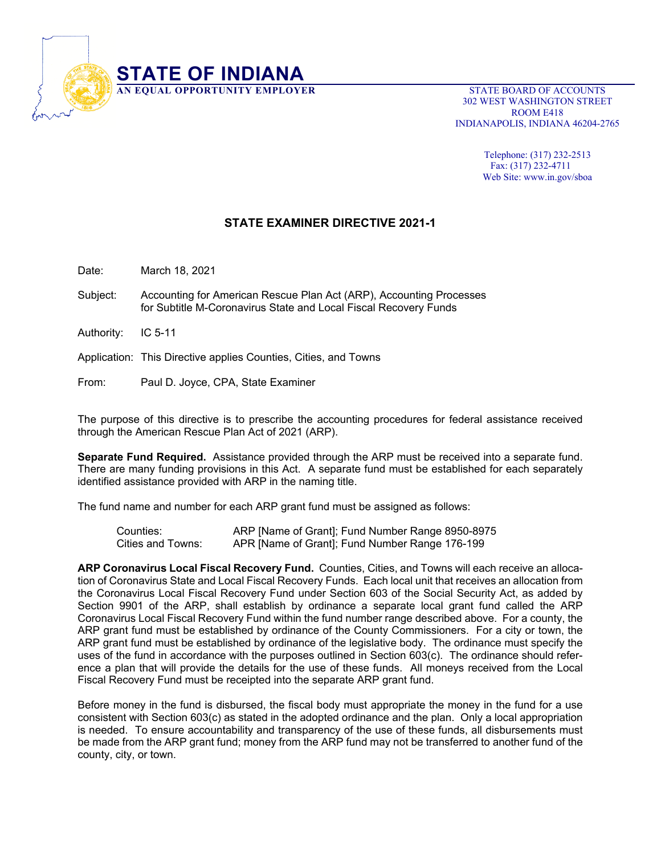

 302 WEST WASHINGTON STREET ROOM E418 INDIANAPOLIS, INDIANA 46204-2765

> Telephone: (317) 232-2513 Fax: (317) 232-4711 Web Site: www.in.gov/sboa

## **STATE EXAMINER DIRECTIVE 2021-1**

Date: March 18, 2021

- Subject: Accounting for American Rescue Plan Act (ARP), Accounting Processes for Subtitle M-Coronavirus State and Local Fiscal Recovery Funds
- Authority: IC 5-11

Application: This Directive applies Counties, Cities, and Towns

From: Paul D. Joyce, CPA, State Examiner

The purpose of this directive is to prescribe the accounting procedures for federal assistance received through the American Rescue Plan Act of 2021 (ARP).

**Separate Fund Required.** Assistance provided through the ARP must be received into a separate fund. There are many funding provisions in this Act. A separate fund must be established for each separately identified assistance provided with ARP in the naming title.

The fund name and number for each ARP grant fund must be assigned as follows:

Counties: ARP [Name of Grant]; Fund Number Range 8950-8975 Cities and Towns: APR [Name of Grant]; Fund Number Range 176-199

**ARP Coronavirus Local Fiscal Recovery Fund.** Counties, Cities, and Towns will each receive an allocation of Coronavirus State and Local Fiscal Recovery Funds. Each local unit that receives an allocation from the Coronavirus Local Fiscal Recovery Fund under Section 603 of the Social Security Act, as added by Section 9901 of the ARP, shall establish by ordinance a separate local grant fund called the ARP Coronavirus Local Fiscal Recovery Fund within the fund number range described above. For a county, the ARP grant fund must be established by ordinance of the County Commissioners. For a city or town, the ARP grant fund must be established by ordinance of the legislative body. The ordinance must specify the uses of the fund in accordance with the purposes outlined in Section 603(c). The ordinance should reference a plan that will provide the details for the use of these funds. All moneys received from the Local Fiscal Recovery Fund must be receipted into the separate ARP grant fund.

Before money in the fund is disbursed, the fiscal body must appropriate the money in the fund for a use consistent with Section 603(c) as stated in the adopted ordinance and the plan. Only a local appropriation is needed. To ensure accountability and transparency of the use of these funds, all disbursements must be made from the ARP grant fund; money from the ARP fund may not be transferred to another fund of the county, city, or town.